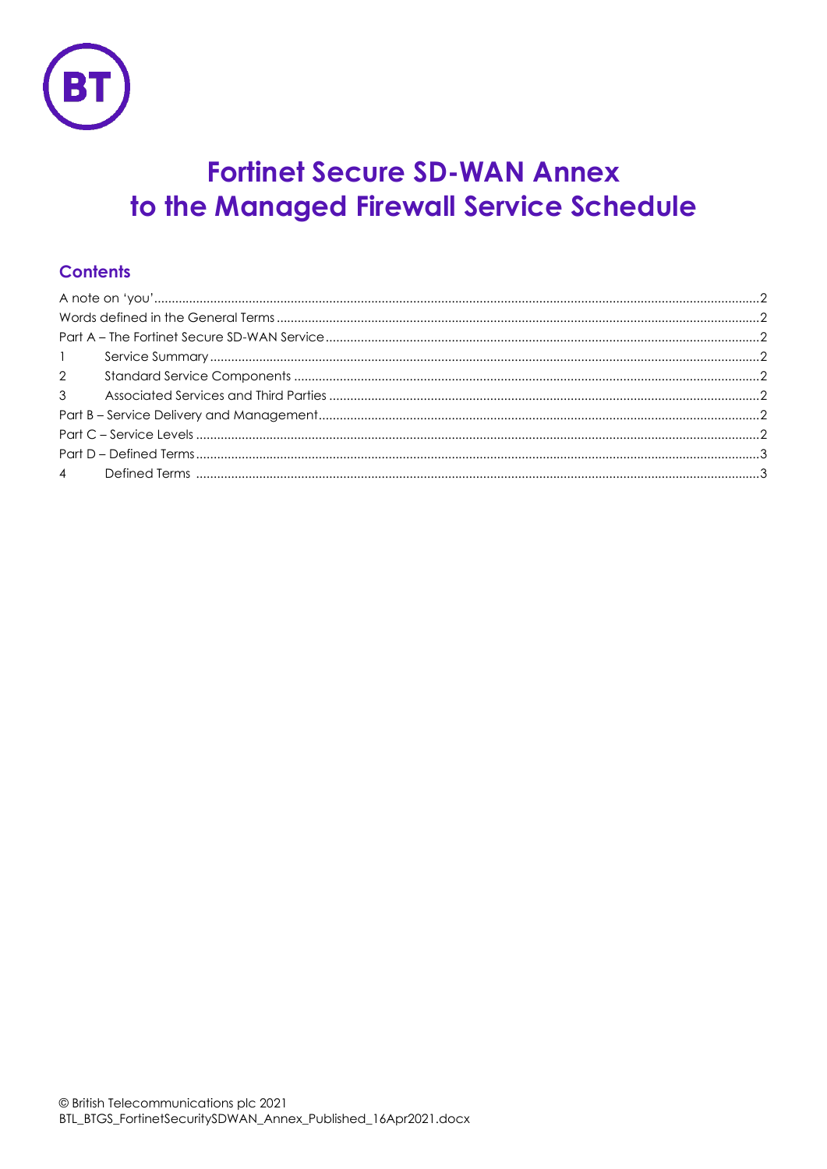

# **Fortinet Secure SD-WAN Annex** to the Managed Firewall Service Schedule

## **Contents**

| 1 |  |  |  |  |
|---|--|--|--|--|
|   |  |  |  |  |
|   |  |  |  |  |
|   |  |  |  |  |
|   |  |  |  |  |
|   |  |  |  |  |
|   |  |  |  |  |
|   |  |  |  |  |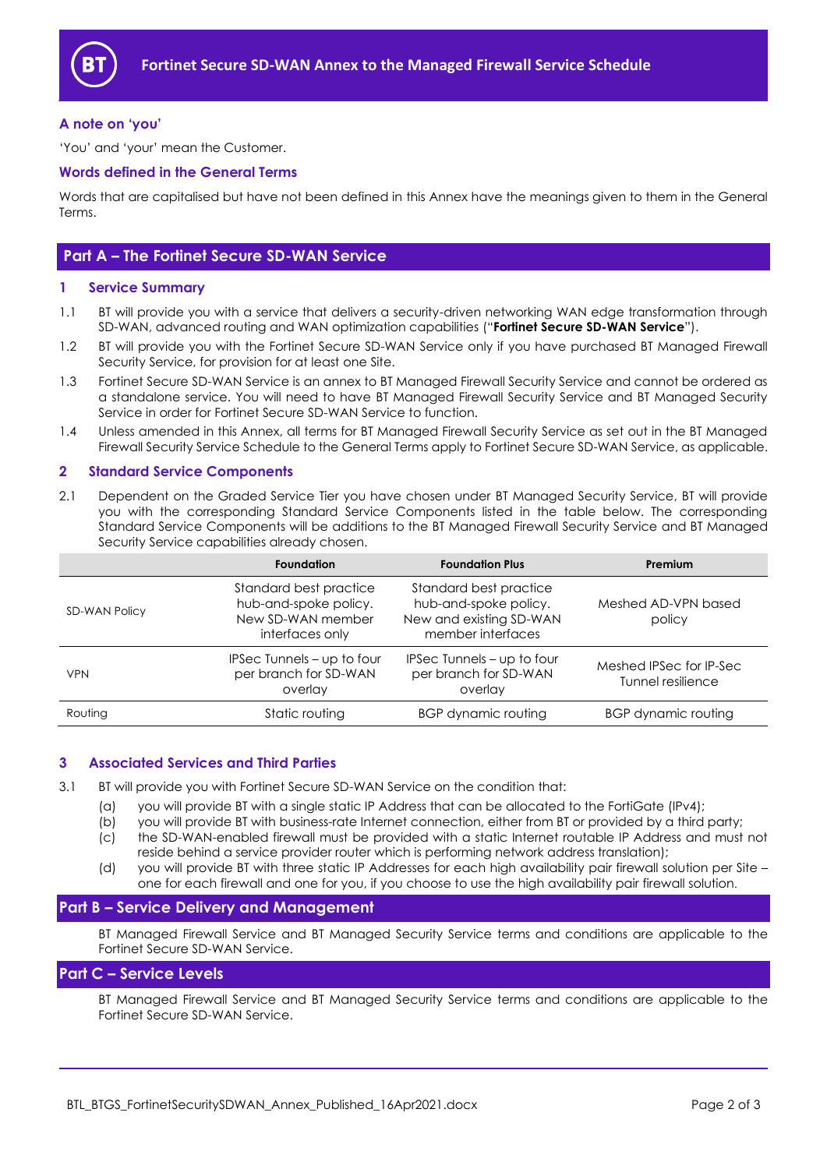

#### <span id="page-1-0"></span>**A note on 'you'**

'You' and 'your' mean the Customer.

#### <span id="page-1-1"></span>**Words defined in the General Terms**

Words that are capitalised but have not been defined in this Annex have the meanings given to them in the General Terms.

### <span id="page-1-2"></span>**Part A – The Fortinet Secure SD-WAN Service**

#### <span id="page-1-3"></span>**1 Service Summary**

- 1.1 BT will provide you with a service that delivers a security-driven networking WAN edge transformation through SD-WAN, advanced routing and WAN optimization capabilities ("**Fortinet Secure SD-WAN Service**").
- 1.2 BT will provide you with the Fortinet Secure SD-WAN Service only if you have purchased BT Managed Firewall Security Service, for provision for at least one Site.
- 1.3 Fortinet Secure SD-WAN Service is an annex to BT Managed Firewall Security Service and cannot be ordered as a standalone service. You will need to have BT Managed Firewall Security Service and BT Managed Security Service in order for Fortinet Secure SD-WAN Service to function.
- 1.4 Unless amended in this Annex, all terms for BT Managed Firewall Security Service as set out in the BT Managed Firewall Security Service Schedule to the General Terms apply to Fortinet Secure SD-WAN Service, as applicable.

#### <span id="page-1-4"></span>**2 Standard Service Components**

2.1 Dependent on the Graded Service Tier you have chosen under BT Managed Security Service, BT will provide you with the corresponding Standard Service Components listed in the table below. The corresponding Standard Service Components will be additions to the BT Managed Firewall Security Service and BT Managed Security Service capabilities already chosen.

|                      | <b>Foundation</b>                                                                       | <b>Foundation Plus</b>                                                                          | Premium                                      |
|----------------------|-----------------------------------------------------------------------------------------|-------------------------------------------------------------------------------------------------|----------------------------------------------|
| <b>SD-WAN Policy</b> | Standard best practice<br>hub-and-spoke policy.<br>New SD-WAN member<br>interfaces only | Standard best practice<br>hub-and-spoke policy.<br>New and existing SD-WAN<br>member interfaces | Meshed AD-VPN based<br>policy                |
| <b>VPN</b>           | IPSec Tunnels - up to four<br>per branch for SD-WAN<br>overlay                          | IPSec Tunnels – up to four<br>per branch for SD-WAN<br>overlay                                  | Meshed IPSec for IP-Sec<br>Tunnel resilience |
| Routing              | Static routing                                                                          | BGP dynamic routing                                                                             | BGP dynamic routing                          |

#### <span id="page-1-5"></span>**3 Associated Services and Third Parties**

- 3.1 BT will provide you with Fortinet Secure SD-WAN Service on the condition that:
	- (a) you will provide BT with a single static IP Address that can be allocated to the FortiGate (IPv4);
	- (b) you will provide BT with business-rate Internet connection, either from BT or provided by a third party;
	- (c) the SD-WAN-enabled firewall must be provided with a static Internet routable IP Address and must not reside behind a service provider router which is performing network address translation);
	- (d) you will provide BT with three static IP Addresses for each high availability pair firewall solution per Site one for each firewall and one for you, if you choose to use the high availability pair firewall solution.

#### <span id="page-1-6"></span>**Part B – Service Delivery and Management**

BT Managed Firewall Service and BT Managed Security Service terms and conditions are applicable to the Fortinet Secure SD-WAN Service.

#### <span id="page-1-7"></span>**Part C – Service Levels**

BT Managed Firewall Service and BT Managed Security Service terms and conditions are applicable to the Fortinet Secure SD-WAN Service.